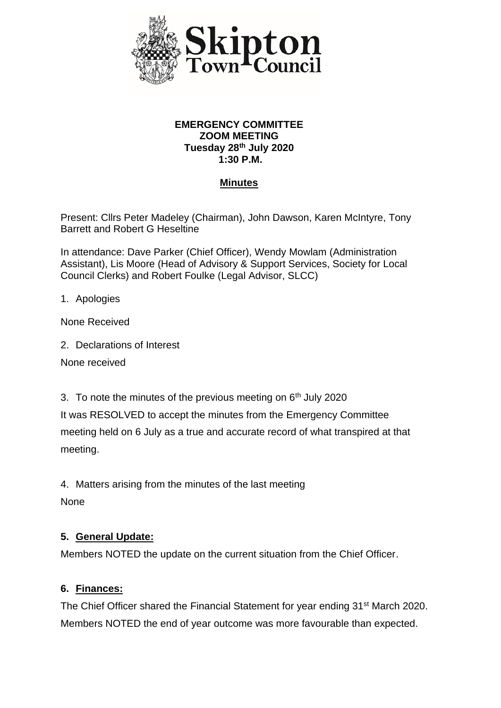

#### **EMERGENCY COMMITTEE ZOOM MEETING Tuesday 28th July 2020 1:30 P.M.**

### **Minutes**

Present: Cllrs Peter Madeley (Chairman), John Dawson, Karen McIntyre, Tony Barrett and Robert G Heseltine

In attendance: Dave Parker (Chief Officer), Wendy Mowlam (Administration Assistant), Lis Moore (Head of Advisory & Support Services, Society for Local Council Clerks) and Robert Foulke (Legal Advisor, SLCC)

1. Apologies

None Received

2. Declarations of Interest

None received

3. To note the minutes of the previous meeting on  $6<sup>th</sup>$  July 2020

It was RESOLVED to accept the minutes from the Emergency Committee meeting held on 6 July as a true and accurate record of what transpired at that meeting.

4. Matters arising from the minutes of the last meeting

None

### **5. General Update:**

Members NOTED the update on the current situation from the Chief Officer.

#### **6. Finances:**

The Chief Officer shared the Financial Statement for year ending 31<sup>st</sup> March 2020. Members NOTED the end of year outcome was more favourable than expected.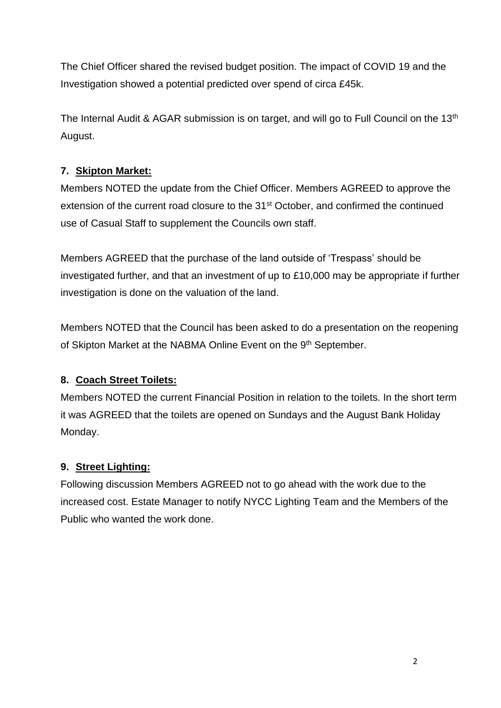The Chief Officer shared the revised budget position. The impact of COVID 19 and the Investigation showed a potential predicted over spend of circa £45k.

The Internal Audit & AGAR submission is on target, and will go to Full Council on the 13<sup>th</sup> August.

## **7. Skipton Market:**

Members NOTED the update from the Chief Officer. Members AGREED to approve the extension of the current road closure to the 31<sup>st</sup> October, and confirmed the continued use of Casual Staff to supplement the Councils own staff.

Members AGREED that the purchase of the land outside of 'Trespass' should be investigated further, and that an investment of up to £10,000 may be appropriate if further investigation is done on the valuation of the land.

Members NOTED that the Council has been asked to do a presentation on the reopening of Skipton Market at the NABMA Online Event on the 9<sup>th</sup> September.

## **8. Coach Street Toilets:**

Members NOTED the current Financial Position in relation to the toilets. In the short term it was AGREED that the toilets are opened on Sundays and the August Bank Holiday Monday.

## **9. Street Lighting:**

Following discussion Members AGREED not to go ahead with the work due to the increased cost. Estate Manager to notify NYCC Lighting Team and the Members of the Public who wanted the work done.